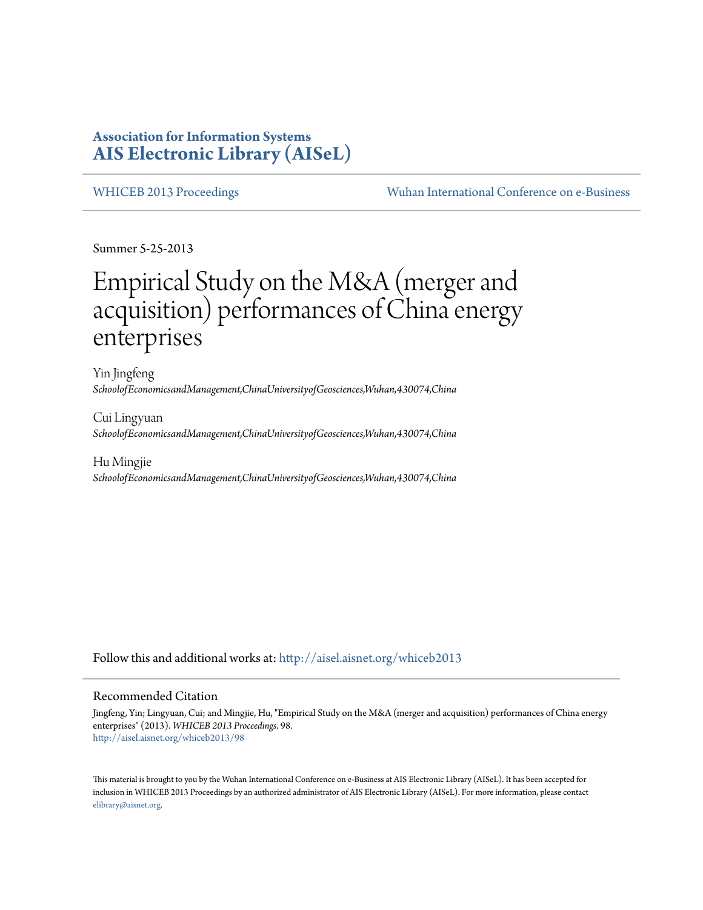# **Association for Information Systems [AIS Electronic Library \(AISeL\)](http://aisel.aisnet.org?utm_source=aisel.aisnet.org%2Fwhiceb2013%2F98&utm_medium=PDF&utm_campaign=PDFCoverPages)**

[WHICEB 2013 Proceedings](http://aisel.aisnet.org/whiceb2013?utm_source=aisel.aisnet.org%2Fwhiceb2013%2F98&utm_medium=PDF&utm_campaign=PDFCoverPages) [Wuhan International Conference on e-Business](http://aisel.aisnet.org/whiceb?utm_source=aisel.aisnet.org%2Fwhiceb2013%2F98&utm_medium=PDF&utm_campaign=PDFCoverPages)

Summer 5-25-2013

# Empirical Study on the M&A (merger and acquisition) performances of China energy enterprises

Yin Jingfeng *SchoolofEconomicsandManagement,ChinaUniversityofGeosciences,Wuhan,430074,China*

Cui Lingyuan *SchoolofEconomicsandManagement,ChinaUniversityofGeosciences,Wuhan,430074,China*

Hu Mingjie *SchoolofEconomicsandManagement,ChinaUniversityofGeosciences,Wuhan,430074,China*

Follow this and additional works at: [http://aisel.aisnet.org/whiceb2013](http://aisel.aisnet.org/whiceb2013?utm_source=aisel.aisnet.org%2Fwhiceb2013%2F98&utm_medium=PDF&utm_campaign=PDFCoverPages)

# Recommended Citation

Jingfeng, Yin; Lingyuan, Cui; and Mingjie, Hu, "Empirical Study on the M&A (merger and acquisition) performances of China energy enterprises" (2013). *WHICEB 2013 Proceedings*. 98. [http://aisel.aisnet.org/whiceb2013/98](http://aisel.aisnet.org/whiceb2013/98?utm_source=aisel.aisnet.org%2Fwhiceb2013%2F98&utm_medium=PDF&utm_campaign=PDFCoverPages)

This material is brought to you by the Wuhan International Conference on e-Business at AIS Electronic Library (AISeL). It has been accepted for inclusion in WHICEB 2013 Proceedings by an authorized administrator of AIS Electronic Library (AISeL). For more information, please contact [elibrary@aisnet.org.](mailto:elibrary@aisnet.org%3E)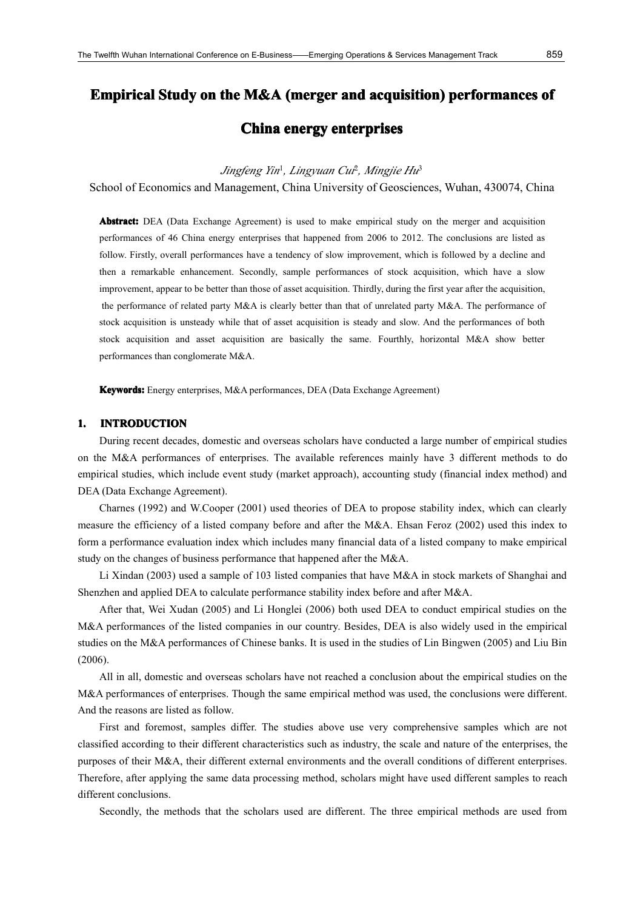# **Empirical Study on the M&A (merger and acquisition) performances of**

# **China energy enterprises enterprises enterprises**

*Jingfeng Yin*<sup>1</sup> *, Lingyuan Cui*<sup>2</sup> *, Mingjie Hu*<sup>3</sup>

School of Economics and Management, China University of Geosciences, Wuhan, 430074, China

**Abstract: Abstract:** DEA (Data Exchange Agreement) is used to make empirical study on the merger and acquisition performances of 46 China energy enterprises that happened from 2006 to 2012. The conclusions are listed as follow. Firstly, overall performances have <sup>a</sup> tendency of slow improvement, which is followed by <sup>a</sup> decline and then <sup>a</sup> remarkable enhancement. Secondly, sample performances of stock acquisition, which have <sup>a</sup> slow improvement, appear to be better than those of asset acquisition. Thirdly, during the first year after the acquisition, the performance of related party M&A is clearly better than that of unrelated party M&A. The performance of stock acquisition is unsteady while that of asset acquisition is steady and slow. And the performances of both stock acquisition and asset acquisition are basically the same. Fourthly, horizontal M&A show better performances than conglomerate M&A.

**Keywords:** Energy enterprises, M&A performances, DEA (Data Exchange Agreement)

# **1. INTRODUCTION INTRODUCTION**

During recent decades, domestic and overseas scholars have conducted <sup>a</sup> large number of empirical studies on the M&A performances of enterprises. The available references mainly have 3 different methods to do empirical studies, which include event study (market approach), accounting study (financial index method) and DEA (Data Exchange Agreement).

Charnes (1992) and W.Cooper (2001) used theories of DEA to propose stability index, which can clearly measure the efficiency of <sup>a</sup> listed company before and after the M&A. Ehsan Feroz (2002) used this index to form <sup>a</sup> performance evaluation index which includes many financial data of <sup>a</sup> listed company to make empirical study on the changes of business performance that happened after the M&A.

Li Xindan (2003) used <sup>a</sup> sample of 103 listed companies that have M&A in stock markets of Shanghai and Shenzhen and applied DEA to calculate performance stability index before and after M&A.

After that, Wei Xudan (2005) and Li Honglei (2006) both used DEA to conduct empirical studies on the M&A performances of the listed companies in our country. Besides, DEA is also widely used in the empirical studies on the M&A performances of Chinese banks. It is used in the studies of Lin Bingwen (2005) and Liu Bin (2006).

All in all, domestic and overseas scholars have not reached <sup>a</sup> conclusion about the empirical studies on the M&A performances of enterprises. Though the same empirical method was used, the conclusions were different. And the reasons are listed as follow.

First and foremost, samples differ. The studies above use very comprehensive samples which are not classified according to their different characteristics such as industry, the scale and nature of the enterprises, the purposes of their M&A, their different external environments and the overall conditions of different enterprises. Therefore, after applying the same data processing method, scholars might have used different samples toreach different conclusions.

Secondly, the methods that the scholars used are different. The three empirical methods are used from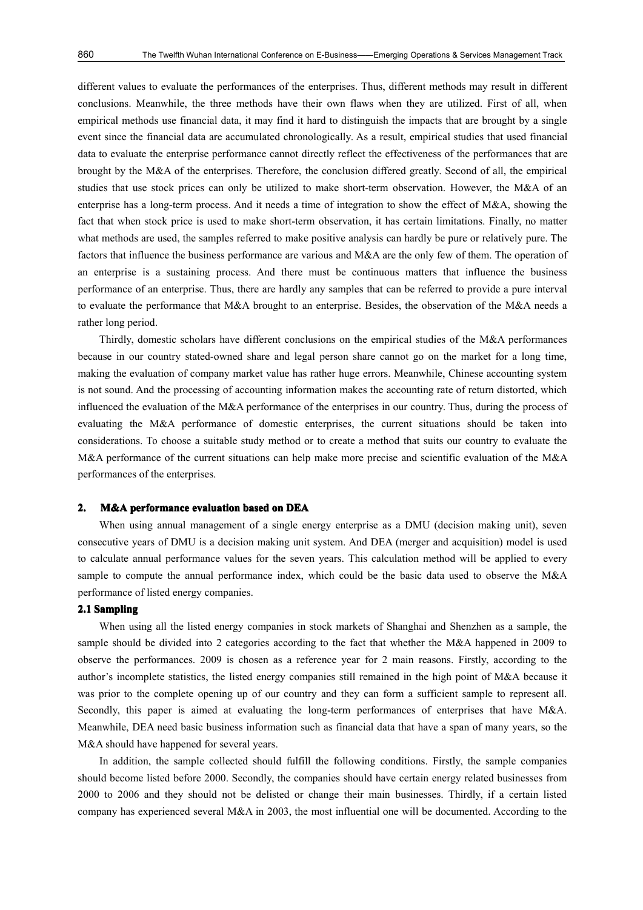different values to evaluate the performances of the enterprises. Thus, different methods may result in different conclusions. Meanwhile, the three methods have their own flaws when they are utilized. First of all, when empirical methods use financial data, it may find it hard to distinguish the impacts that are brought by a single event since the financial data are accumulated chronologically. As <sup>a</sup> result, empirical studies that used financial data to evaluate the enterprise performance cannot directly reflect the effectiveness of the performances that are brought by the M&A of the enterprises. Therefore, the conclusion differed greatly. Second of all, the empirical studies that use stock prices can only be utilized to make short-term observation. However, the M&A of an enterprise has <sup>a</sup> long-term process. And it needs <sup>a</sup> time of integration to show the effect of M&A, showing the fact that when stock price is used to make short-term observation, it has certain limitations. Finally, no matter what methods are used, the samples referred to make positive analysis can hardly be pure or relatively pure. The factors that influence the business performance are various and M&A are the only few of them. The operation of an enterprise is a sustaining process. And there must be continuous matters that influence the business performance of an enterprise. Thus, there are hardly any samples that can be referred to provide <sup>a</sup> pure interval to evaluate the performance that M&A brought to an enterprise. Besides, the observation of the M&A needs <sup>a</sup> rather long period.

Thirdly, domestic scholars have different conclusions on the empirical studies of the M&A performances because in our country stated-owned share and legal person share cannot go on the market for <sup>a</sup> long time, making the evaluation of company market value has rather huge errors. Meanwhile, Chinese accounting system is not sound. And the processing of accounting information makes the accounting rate of return distorted, which influenced the evaluation of the M&A performance of the enterprises in our country. Thus, during the process of evaluating the M&A performance of domestic enterprises, the current situations should be taken into considerations. To choose <sup>a</sup> suitable study method or to create <sup>a</sup> method that suits our country to evaluate the M&A performance of the current situations can help make more precise and scientific evaluation of the M&A performances of the enterprises.

## **2. M&A performance performance evaluation evaluation evaluationevaluationbased on DEA**

When using annual management of a single energy enterprise as a DMU (decision making unit), seven consecutive years of DMU is a decision making unit system. And DEA (merger and acquisition) model is used to calculate annual performance values for the seven years. This calculation method will be applied to every sample to compute the annual performance index, which could be the basic data used to observe the M&A performance of listed energy companies.

## **2.1 Sampling Sampling**

When using all the listed energy companies in stock markets of Shanghai and Shenzhen as a sample, the sample should be divided into 2 categories according to the fact that whether the M&A happened in 2009 to observe the performances. 2009 is chosen as <sup>a</sup> reference year for 2 main reasons. Firstly, according to the author's incomplete statistics, the listed energy companies still remained in the high point of M&A because it was prior to the complete opening up of our country and they can form <sup>a</sup> sufficient sample to represen<sup>t</sup> all. Secondly, this paper is aimed at evaluating the long-term performances of enterprises that have M&A. Meanwhile, DEA need basic business information such as financial data that have <sup>a</sup> span of many years, so the M&A should have happened for several years.

In addition, the sample collected should fulfill the following conditions. Firstly, the sample companies should become listed before 2000. Secondly, the companies should have certain energy related businesses from 2000 to 2006 and they should not be delisted or change their main businesses. Thirdly, if <sup>a</sup> certain listed company has experienced several M&A in 2003, the most influential one will be documented. According to the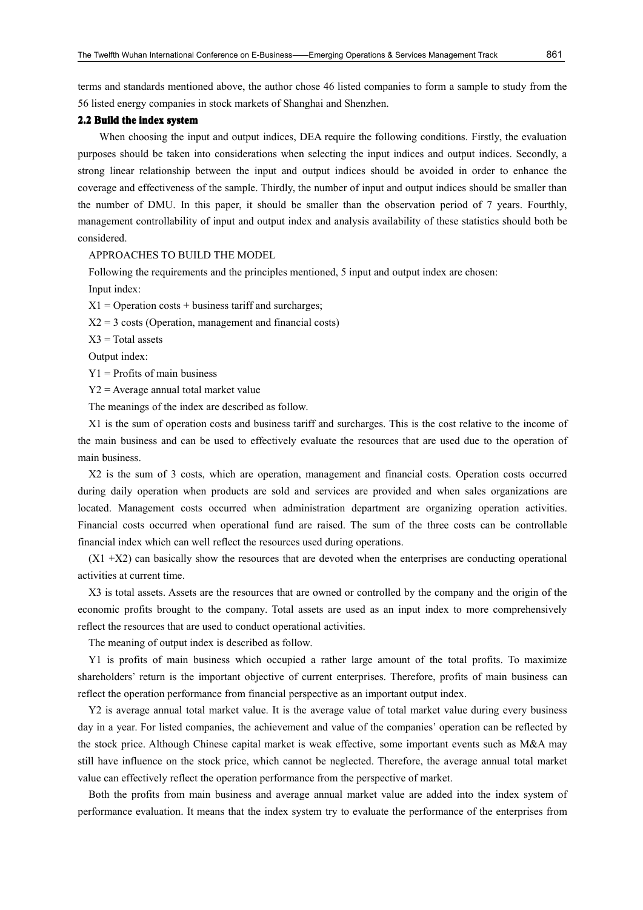terms and standards mentioned above, the author chose 46 listed companies toform <sup>a</sup> sample to study from the 56 listed energy companies instock markets of Shanghai and Shenzhen.

# **2.2 Build the index system**

When choosing the input and output indices, DEA require the following conditions. Firstly, the evaluation purposes should be taken into considerations when selecting the input indices and output indices. Secondly, <sup>a</sup> strong linear relationship between the input and output indices should be avoided in order to enhance the coverage and effectiveness of the sample. Thirdly, the number of input and output indices should be smaller than the number of DMU. In this paper, it should be smaller than the observation period of 7 years. Fourthly, managemen<sup>t</sup> controllability of input and output index and analysis availability of these statistics should both be considered.

# APPROACHES TO BUILD THE MODEL

Following the requirements and the principles mentioned, 5 input and output index are chosen:

Input index:

 $X1 =$  Operation costs + business tariff and surcharges;

 $X2 = 3 \text{ costs}$  (Operation, management and financial costs)

 $X3 = Total$  assets

Output index:

 $Y1$  = Profits of main business

Y2 <sup>=</sup> Average annual total market value

The meanings of the index are described as follow.

X1 is the sum of operation costs and business tariff and surcharges. This is the cost relative to the income of the main business and can be used to effectively evaluate the resources that are used due to the operation of main business.

X2 is the sumof 3 costs, which are operation, managemen<sup>t</sup> and financial costs. Operation costs occurred during daily operation when products are sold and services are provided and when sales organizations are located. Management costs occurred when administration department are organizing operation activities. Financial costs occurred when operational fund are raised. The sum of the three costs can be controllable financial index which can well reflect the resources used during operations.

 $(X1 + X2)$  can basically show the resources that are devoted when the enterprises are conducting operational activities at current time.

X3 is total assets. Assets are the resources that are owned or controlled by the company and the origin of the economic profits brought to the company. Total assets are used as an input index to more comprehensively reflect the resources that are used to conduct operational activities.

The meaning of output index is described as follow.

Y1 is profits of main business which occupied <sup>a</sup> rather large amount of the total profits. To maximize shareholders' return is the important objective of current enterprises. Therefore, profits of main business can reflect the operation performance from financial perspective as an important output index.

Y2 is average annual total market value. It is the average value of total market value during every business day in <sup>a</sup> year. For listed companies, the achievement and value of the companies' operation can be reflected by the stock price. Although Chinese capital market is weak effective, some important events such as M&A may still have influence on the stock price, which cannot be neglected. Therefore, the average annual total market value can effectively reflect the operation performance from the perspective of market.

Both the profits from main business and average annual market value are added into the index system of performance evaluation. It means that the index system try to evaluate the performance of the enterprises from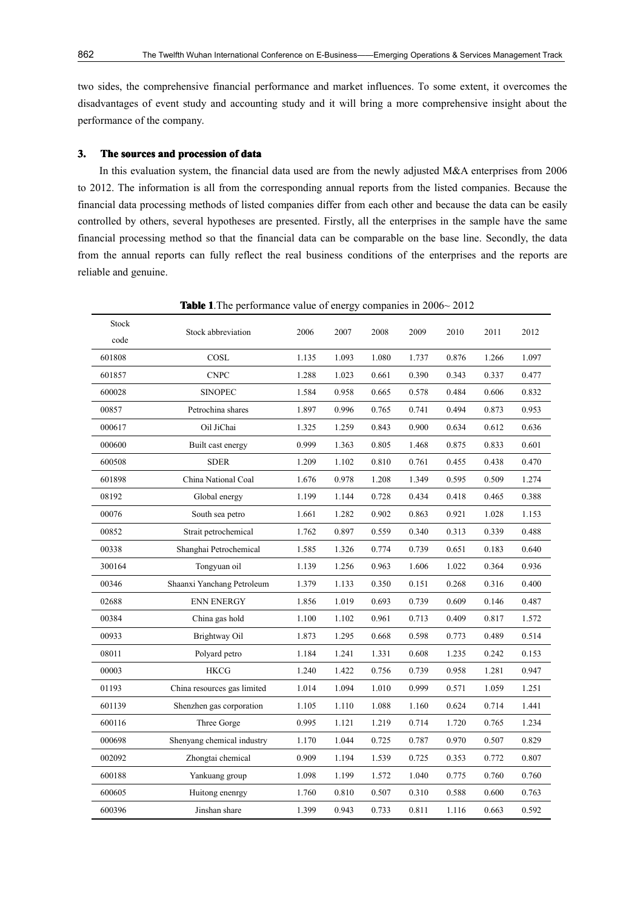two sides, the comprehensive financial performance and market influences. To some extent, it overcomes the disadvantages of event study and accounting study and it will bring <sup>a</sup> more comprehensive insight about the performance of the company.

# **3. The sources sourcesand procession of data**

In this evaluation system, the financial data used are from the newly adjusted M&A enterprises from 2006 to 2012. The information is all from the corresponding annual reports from the listed companies. Because the financial data processing methods of listed companies differ from each other and because the data can be easily controlled by others, several hypotheses are presented. Firstly, all the enterprises in the sample have the same financial processing method so that the financial data can be comparable on the base line. Secondly, the data from the annual reports can fully reflect the real business conditions of the enterprises and the reports are reliable and genuine.

| Stock  |                             |       | 2007  | 2008  | 2009  | 2010  | 2011  | 2012  |
|--------|-----------------------------|-------|-------|-------|-------|-------|-------|-------|
| code   | Stock abbreviation          | 2006  |       |       |       |       |       |       |
| 601808 | COSL                        | 1.135 | 1.093 | 1.080 | 1.737 | 0.876 | 1.266 | 1.097 |
| 601857 | <b>CNPC</b>                 | 1.288 | 1.023 | 0.661 | 0.390 | 0.343 | 0.337 | 0.477 |
| 600028 | <b>SINOPEC</b>              | 1.584 | 0.958 | 0.665 | 0.578 | 0.484 | 0.606 | 0.832 |
| 00857  | Petrochina shares           | 1.897 | 0.996 | 0.765 | 0.741 | 0.494 | 0.873 | 0.953 |
| 000617 | Oil JiChai                  | 1.325 | 1.259 | 0.843 | 0.900 | 0.634 | 0.612 | 0.636 |
| 000600 | Built cast energy           | 0.999 | 1.363 | 0.805 | 1.468 | 0.875 | 0.833 | 0.601 |
| 600508 | <b>SDER</b>                 | 1.209 | 1.102 | 0.810 | 0.761 | 0.455 | 0.438 | 0.470 |
| 601898 | China National Coal         | 1.676 | 0.978 | 1.208 | 1.349 | 0.595 | 0.509 | 1.274 |
| 08192  | Global energy               | 1.199 | 1.144 | 0.728 | 0.434 | 0.418 | 0.465 | 0.388 |
| 00076  | South sea petro             | 1.661 | 1.282 | 0.902 | 0.863 | 0.921 | 1.028 | 1.153 |
| 00852  | Strait petrochemical        | 1.762 | 0.897 | 0.559 | 0.340 | 0.313 | 0.339 | 0.488 |
| 00338  | Shanghai Petrochemical      | 1.585 | 1.326 | 0.774 | 0.739 | 0.651 | 0.183 | 0.640 |
| 300164 | Tongyuan oil                | 1.139 | 1.256 | 0.963 | 1.606 | 1.022 | 0.364 | 0.936 |
| 00346  | Shaanxi Yanchang Petroleum  | 1.379 | 1.133 | 0.350 | 0.151 | 0.268 | 0.316 | 0.400 |
| 02688  | <b>ENN ENERGY</b>           | 1.856 | 1.019 | 0.693 | 0.739 | 0.609 | 0.146 | 0.487 |
| 00384  | China gas hold              | 1.100 | 1.102 | 0.961 | 0.713 | 0.409 | 0.817 | 1.572 |
| 00933  | Brightway Oil               | 1.873 | 1.295 | 0.668 | 0.598 | 0.773 | 0.489 | 0.514 |
| 08011  | Polyard petro               | 1.184 | 1.241 | 1.331 | 0.608 | 1.235 | 0.242 | 0.153 |
| 00003  | <b>HKCG</b>                 | 1.240 | 1.422 | 0.756 | 0.739 | 0.958 | 1.281 | 0.947 |
| 01193  | China resources gas limited | 1.014 | 1.094 | 1.010 | 0.999 | 0.571 | 1.059 | 1.251 |
| 601139 | Shenzhen gas corporation    | 1.105 | 1.110 | 1.088 | 1.160 | 0.624 | 0.714 | 1.441 |
| 600116 | Three Gorge                 | 0.995 | 1.121 | 1.219 | 0.714 | 1.720 | 0.765 | 1.234 |
| 000698 | Shenyang chemical industry  | 1.170 | 1.044 | 0.725 | 0.787 | 0.970 | 0.507 | 0.829 |
| 002092 | Zhongtai chemical           | 0.909 | 1.194 | 1.539 | 0.725 | 0.353 | 0.772 | 0.807 |
| 600188 | Yankuang group              | 1.098 | 1.199 | 1.572 | 1.040 | 0.775 | 0.760 | 0.760 |
| 600605 | Huitong enenrgy             | 1.760 | 0.810 | 0.507 | 0.310 | 0.588 | 0.600 | 0.763 |
| 600396 | Jinshan share               | 1.399 | 0.943 | 0.733 | 0.811 | 1.116 | 0.663 | 0.592 |

**Table 1**. The performance value of energy companies in  $2006~2012$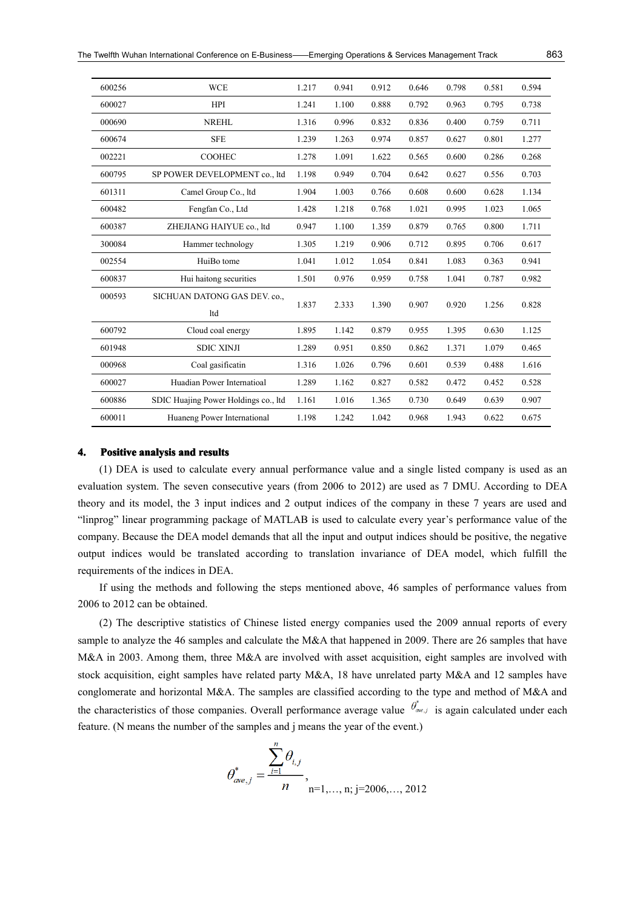| 600256 | <b>WCE</b>                           | 1.217 | 0.941 | 0.912 | 0.646 | 0.798 | 0.581 | 0.594 |
|--------|--------------------------------------|-------|-------|-------|-------|-------|-------|-------|
| 600027 | <b>HPI</b>                           | 1.241 | 1.100 | 0.888 | 0.792 | 0.963 | 0.795 | 0.738 |
| 000690 | <b>NREHL</b>                         | 1.316 | 0.996 | 0.832 | 0.836 | 0.400 | 0.759 | 0.711 |
| 600674 | <b>SFE</b>                           | 1.239 | 1.263 | 0.974 | 0.857 | 0.627 | 0.801 | 1.277 |
| 002221 | <b>COOHEC</b>                        | 1.278 | 1.091 | 1.622 | 0.565 | 0.600 | 0.286 | 0.268 |
| 600795 | SP POWER DEVELOPMENT co., ltd        | 1.198 | 0.949 | 0.704 | 0.642 | 0.627 | 0.556 | 0.703 |
| 601311 | Camel Group Co., ltd                 | 1.904 | 1.003 | 0.766 | 0.608 | 0.600 | 0.628 | 1.134 |
| 600482 | Fengfan Co., Ltd                     | 1.428 | 1.218 | 0.768 | 1.021 | 0.995 | 1.023 | 1.065 |
| 600387 | ZHEJIANG HAIYUE co., ltd             | 0.947 | 1.100 | 1.359 | 0.879 | 0.765 | 0.800 | 1.711 |
| 300084 | Hammer technology                    | 1.305 | 1.219 | 0.906 | 0.712 | 0.895 | 0.706 | 0.617 |
| 002554 | HuiBo tome                           | 1.041 | 1.012 | 1.054 | 0.841 | 1.083 | 0.363 | 0.941 |
| 600837 | Hui haitong securities               | 1.501 | 0.976 | 0.959 | 0.758 | 1.041 | 0.787 | 0.982 |
| 000593 | SICHUAN DATONG GAS DEV. co.,         | 1.837 | 2.333 | 1.390 | 0.907 | 0.920 | 1.256 | 0.828 |
|        | ltd                                  |       |       |       |       |       |       |       |
| 600792 | Cloud coal energy                    | 1.895 | 1.142 | 0.879 | 0.955 | 1.395 | 0.630 | 1.125 |
| 601948 | <b>SDIC XINJI</b>                    | 1.289 | 0.951 | 0.850 | 0.862 | 1.371 | 1.079 | 0.465 |
| 000968 | Coal gasificatin                     | 1.316 | 1.026 | 0.796 | 0.601 | 0.539 | 0.488 | 1.616 |
| 600027 | Huadian Power Internatioal           | 1.289 | 1.162 | 0.827 | 0.582 | 0.472 | 0.452 | 0.528 |
| 600886 | SDIC Huajing Power Holdings co., ltd | 1.161 | 1.016 | 1.365 | 0.730 | 0.649 | 0.639 | 0.907 |
| 600011 | Huaneng Power International          | 1.198 | 1.242 | 1.042 | 0.968 | 1.943 | 0.622 | 0.675 |

#### **4. Positive Positiveanalysis analysisand results results**

(1) DEA is used to calculate every annual performance value and <sup>a</sup> single listed company is used as an evaluation system. The seven consecutive years (from 2006 to 2012) are used as 7 DMU. According to DEA theory and its model, the 3 input indices and 2 output indices of the company in these 7 years are used and "linprog" linear programming package of MATLAB is used to calculate every year's performance value of the company. Because the DEA model demands that all the input and output indices should be positive, the negative output indices would be translated according to translation invariance of DEA model, which fulfill the requirements of the indices inDEA.

If using the methods and following the steps mentioned above, 46 samples of performance values from 2006 to 2012 can be obtained.

(2) The descriptive statistics of Chinese listed energy companies used the 2009 annual reports of every sample to analyze the 46 samples and calculate the M&A that happened in 2009. There are 26 samples that have M&A in 2003. Among them, three M&A are involved with asset acquisition, eight samples are involved with stock acquisition, eight samples have related party M&A, 18 have unrelated party M&A and 12 samples have conglomerate and horizontal M&A. The samples are classified according to the type and method of M&A and the characteristics of those companies. Overall performance average value  $\theta_{\alpha_{e,j}}^*$  is again calculated under each feature. (N means the number of the samples and j means the year of the event.)

$$
\theta_{\text{ave},j}^{*} = \frac{\sum_{i=1}^{n} \theta_{i,j}}{n},
$$
  
n=1,..., n; j=2006,..., 2012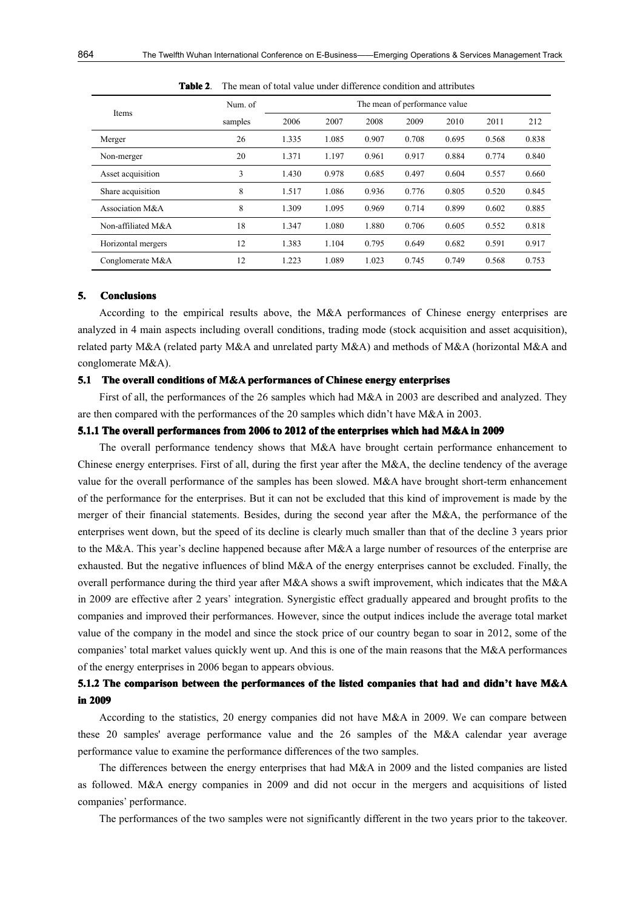| Items              | Num. of | The mean of performance value |       |       |       |       |       |       |
|--------------------|---------|-------------------------------|-------|-------|-------|-------|-------|-------|
|                    | samples | 2006                          | 2007  | 2008  | 2009  | 2010  | 2011  | 212   |
| Merger             | 26      | 1.335                         | 1.085 | 0.907 | 0.708 | 0.695 | 0.568 | 0.838 |
| Non-merger         | 20      | 1.371                         | 1.197 | 0.961 | 0.917 | 0.884 | 0.774 | 0.840 |
| Asset acquisition  | 3       | 1.430                         | 0.978 | 0.685 | 0.497 | 0.604 | 0.557 | 0.660 |
| Share acquisition  | 8       | 1.517                         | 1.086 | 0.936 | 0.776 | 0.805 | 0.520 | 0.845 |
| Association M&A    | 8       | 1.309                         | 1.095 | 0.969 | 0.714 | 0.899 | 0.602 | 0.885 |
| Non-affiliated M&A | 18      | 1.347                         | 1.080 | 1.880 | 0.706 | 0.605 | 0.552 | 0.818 |
| Horizontal mergers | 12      | 1.383                         | 1.104 | 0.795 | 0.649 | 0.682 | 0.591 | 0.917 |
| Conglomerate M&A   | 12      | 1.223                         | 1.089 | 1.023 | 0.745 | 0.749 | 0.568 | 0.753 |

**Table 2**. The mean of total value under difference condition and attributes

#### **5. Conclusions onclusions onclusions**

According to the empirical results above, the M&A performances of Chinese energy enterprises are analyzed in 4 main aspects including overall conditions, trading mode (stock acquisition and asset acquisition), related party M&A (related party M&A and unrelated party M&A) and methods of M&A (horizontal M&A and conglomerate M&A).

# **5.1 The overall conditions of M&A performances of Chinese Chinese energy enterprises enterprises**

First of all, the performances of the 26 samples which had M&A in 2003 are described and analyzed. They are then compared with the performances of the 20 samples which didn't have M&Ain 2003.

# **5.1.1 The overall performances from 2006 to 2012 of the enterprises enterpriseswhich had M&A in 2009**

The overall performance tendency shows that M&A have brought certain performance enhancement to Chinese energy enterprises. First of all, during the first year after the M&A, the decline tendency of the average value for the overall performance of the samples has been slowed. M&A have brought short-term enhancement of the performance for the enterprises. But it can not be excluded that this kind of improvement is made by the merger of their financial statements. Besides, during the second year after the M&A, the performance of the enterprises went down, but the speed of its decline is clearly much smaller than that of the decline 3 years prior to the M&A. This year's decline happened because after M&A a large number of resources of the enterprise are exhausted. But the negative influences of blind M&A of the energy enterprises cannot be excluded. Finally, the overall performance during the third year after  $M&A$  shows a swift improvement, which indicates that the  $M&A$ in 2009 are effective after 2 years' integration. Synergistic effect gradually appeared and brought profits tothe companies and improved their performances. However, since the output indices include the average total market value of the company in the model and since the stock price of our country began to soar in 2012, some of the companies' total market values quickly went up. And this is one of the main reasons that the M&A performances of the energy enterprises in2006 began to appears obvious.

# 5.1.2 The comparison between the performances of the listed companies that had and didn't have M&A **in 2009**

According to the statistics, 20 energy companies did not have M&A in 2009. We can compare between these 20 samples' average performance value and the 26 samples of the M&A calendar year average performance value to examine the performance differences of the two samples.

The differences between the energy enterprises that had M&A in 2009 and the listed companies are listed as followed. M&A energy companies in 2009 and did not occur in the mergers and acquisitions of listed companies' performance.

The performances of the two samples were not significantly different in the two years prior to the takeover.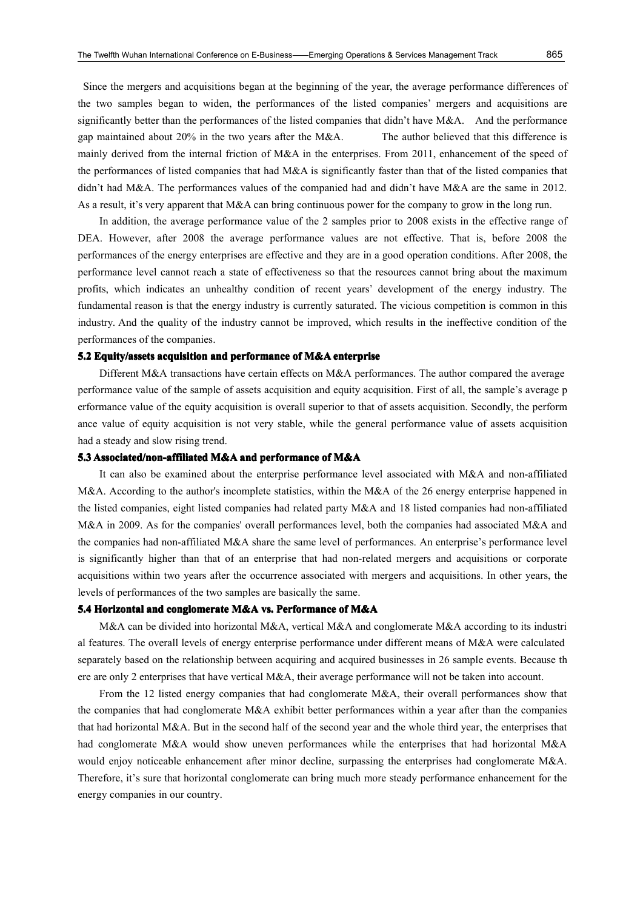Since the mergers and acquisitions began at the beginning of the year, the average performance differences of the two samples began to widen, the performances of the listed companies' mergers and acquisitions are significantly better than the performances of the listed companies that didn't have M&A. And the performance gap maintained about 20% in the two years after the M&A. The author believed that this difference is mainly derived from the internal friction of M&A in the enterprises. From 2011, enhancement of the speed of the performances of listed companies that had M&A is significantly faster than that of the listed companies that didn't had M&A. The performances values of the companied had and didn't have M&A are the same in 2012. As <sup>a</sup> result, it's very apparen<sup>t</sup> that M&A can bring continuous power for the company to grow in the long run.

In addition, the average performance value of the 2 samples prior to 2008 exists inthe effective range of DEA. However, after 2008 the average performance values are not effective. That is, before 2008 the performances of the energy enterprises are effective and they are in <sup>a</sup> good operation conditions. After 2008, the performance level cannot reach a state of effectiveness so that the resources cannot bring about the maximum profits, which indicates an unhealthy condition of recent years' development of the energy industry. The fundamental reason is that the energy industry is currently saturated. The vicious competition is common in this industry. And the quality of the industry cannot be improved, which results in the ineffective condition of the performances of the companies.

#### **5.2 Equity/assets acquisition and performance of M&A enterprise**

Different M&A transactions have certain effects on M&A performances. The author compared the average performance value of the sample of assets acquisition and equity acquisition. First of all, the sample's average p erformance value of the equity acquisition is overall superior to that of assets acquisition. Secondly, the perform ance value of equity acquisition is not very stable, while the general performance value of assets acquisition had <sup>a</sup> steady and slow rising trend.

## **5.3 Associat AssociatAssociated/non-affiliated /non-affiliated /non-affiliatedM&A and performance performance of M&A**

It can also be examined about the enterprise performance level associated with M&A and non-affiliated M&A. According to the author's incomplete statistics, within the M&A of the 26 energy enterprise happened in the listed companies, eight listed companies had related party M&A and 18 listed companies had non-affiliated M&A in 2009. As for the companies' overall performances level, both the companies had associated M&A and the companies had non-affiliated M&A share the same level of performances. An enterprise's performance level is significantly higher than that of an enterprise that had non-related mergers and acquisitions or corporate acquisitions within two years after the occurrence associated with mergers and acquisitions. In other years, the levels of performances of the two samples are basically the same.

# **5.4 Horizontal Horizontaland conglomerate M&A vs. Performance of M&A**

M&A can be divided into horizontal M&A, vertical M&A and conglomerate M&A according to its industri al features. The overall levels of energy enterprise performance under different means of M&A were calculated separately based on the relationship between acquiring and acquired businesses in26 sample events. Because th ere are only 2 enterprises that have vertical M&A, their average performance will not be taken into account.

From the 12 listed energy companies that had conglomerate M&A, their overall performances show that the companies that had conglomerate M&A exhibit better performances within <sup>a</sup> year after than the companies that had horizontal M&A. But in the second half of the second year and the whole third year, the enterprises that had conglomerate M&A would show uneven performances while the enterprises that had horizontal M&A would enjoy noticeable enhancement after minor decline, surpassing the enterprises had conglomerate M&A. Therefore, it's sure that horizontal conglomerate can bring much more steady performance enhancement for the energy companies in our country.